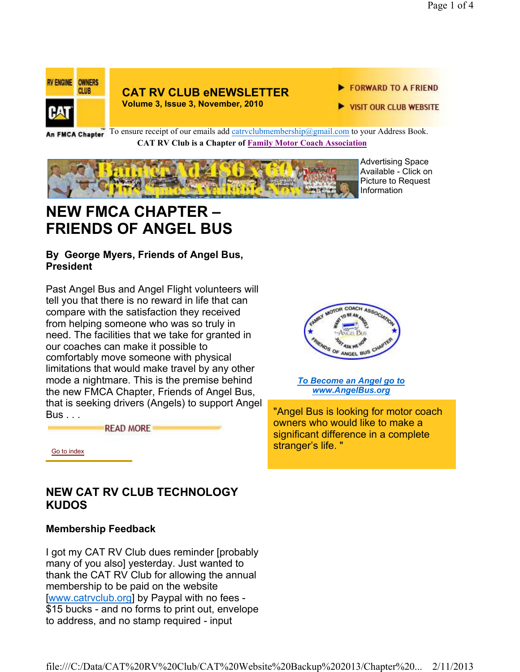

#### **CAT RV CLUB eNEWSLETTER Volume 3, Issue 3, November, 2010**

FORWARD TO A FRIEND

VISIT OUR CLUB WEBSITE

An FMCA Chapter<sup>To ensure receipt of our emails add catrvclubmembership@gmail.com to your Address Book.</sup> **CAT RV Club is a Chapter of Family Motor Coach Association** 



Advertising Space Available - Click on Picture to Request Information

# **NEW FMCA CHAPTER – FRIENDS OF ANGEL BUS**

### **By George Myers, Friends of Angel Bus, President**

Past Angel Bus and Angel Flight volunteers will tell you that there is no reward in life that can compare with the satisfaction they received from helping someone who was so truly in need. The facilities that we take for granted in our coaches can make it possible to comfortably move someone with physical limitations that would make travel by any other mode a nightmare. This is the premise behind the new FMCA Chapter, Friends of Angel Bus, that is seeking drivers (Angels) to support Angel Bus . . .

**READ MORE** 



*To Become an Angel go to www.AngelBus.org*

"Angel Bus is looking for motor coach owners who would like to make a significant difference in a complete stranger's life. "

Go to index

## **NEW CAT RV CLUB TECHNOLOGY KUDOS**

## **Membership Feedback**

I got my CAT RV Club dues reminder [probably many of you also] yesterday. Just wanted to thank the CAT RV Club for allowing the annual membership to be paid on the website [www.catrvclub.org] by Paypal with no fees - \$15 bucks - and no forms to print out, envelope to address, and no stamp required - input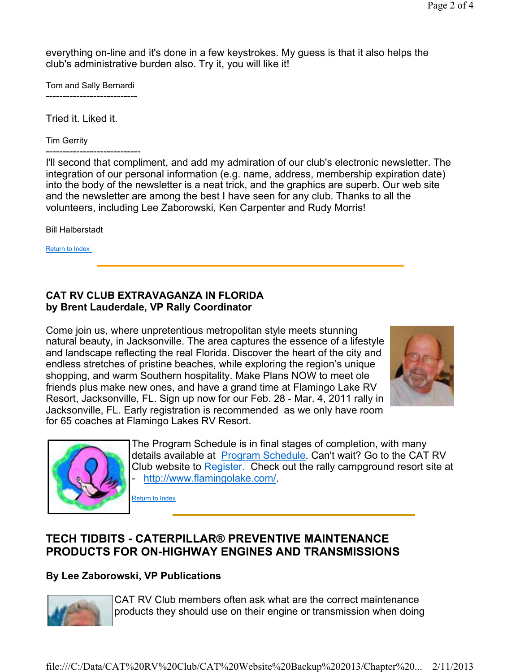everything on-line and it's done in a few keystrokes. My guess is that it also helps the club's administrative burden also. Try it, you will like it!

Tom and Sally Bernardi ---------------------------

Tried it. Liked it.

Tim Gerrity

----------------------------

I'll second that compliment, and add my admiration of our club's electronic newsletter. The integration of our personal information (e.g. name, address, membership expiration date) into the body of the newsletter is a neat trick, and the graphics are superb. Our web site and the newsletter are among the best I have seen for any club. Thanks to all the volunteers, including Lee Zaborowski, Ken Carpenter and Rudy Morris!

Bill Halberstadt

Return to Index

#### **CAT RV CLUB EXTRAVAGANZA IN FLORIDA by Brent Lauderdale, VP Rally Coordinator**

Come join us, where unpretentious metropolitan style meets stunning natural beauty, in Jacksonville. The area captures the essence of a lifestyle and landscape reflecting the real Florida. Discover the heart of the city and endless stretches of pristine beaches, while exploring the region's unique shopping, and warm Southern hospitality. Make Plans NOW to meet ole friends plus make new ones, and have a grand time at Flamingo Lake RV Resort, Jacksonville, FL. Sign up now for our Feb. 28 - Mar. 4, 2011 rally in Jacksonville, FL. Early registration is recommended as we only have room for 65 coaches at Flamingo Lakes RV Resort.





The Program Schedule is in final stages of completion, with many details available at **Program Schedule**. Can't wait? Go to the CAT RV Club website to Register. Check out the rally campground resort site at http://www.flamingolake.com/.

Return to Index

# **TECH TIDBITS - CATERPILLAR® PREVENTIVE MAINTENANCE PRODUCTS FOR ON-HIGHWAY ENGINES AND TRANSMISSIONS**

## **By Lee Zaborowski, VP Publications**



CAT RV Club members often ask what are the correct maintenance products they should use on their engine or transmission when doing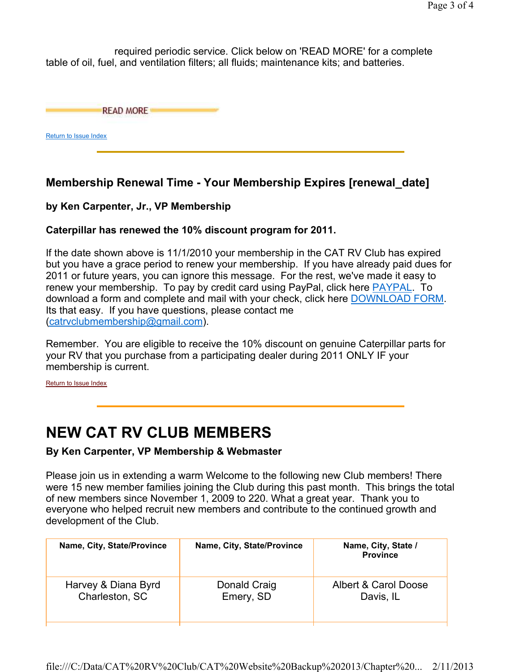required periodic service. Click below on 'READ MORE' for a complete table of oil, fuel, and ventilation filters; all fluids; maintenance kits; and batteries.

**READ MORE** 

Return to Issue Index

## **Membership Renewal Time - Your Membership Expires [renewal\_date]**

### **by Ken Carpenter, Jr., VP Membership**

#### **Caterpillar has renewed the 10% discount program for 2011.**

If the date shown above is 11/1/2010 your membership in the CAT RV Club has expired but you have a grace period to renew your membership. If you have already paid dues for 2011 or future years, you can ignore this message. For the rest, we've made it easy to renew your membership. To pay by credit card using PayPal, click here PAYPAL. To download a form and complete and mail with your check, click here DOWNLOAD FORM. Its that easy. If you have questions, please contact me (catrvclubmembership@gmail.com).

Remember. You are eligible to receive the 10% discount on genuine Caterpillar parts for your RV that you purchase from a participating dealer during 2011 ONLY IF your membership is current.

Return to Issue Index

# **NEW CAT RV CLUB MEMBERS**

#### **By Ken Carpenter, VP Membership & Webmaster**

Please join us in extending a warm Welcome to the following new Club members! There were 15 new member families joining the Club during this past month. This brings the total of new members since November 1, 2009 to 220. What a great year. Thank you to everyone who helped recruit new members and contribute to the continued growth and development of the Club.

| Name, City, State/Province | Name, City, State/Province | Name, City, State /<br><b>Province</b> |
|----------------------------|----------------------------|----------------------------------------|
| Harvey & Diana Byrd        | Donald Craig               | Albert & Carol Doose                   |
| Charleston, SC             | Emery, SD                  | Davis, IL                              |